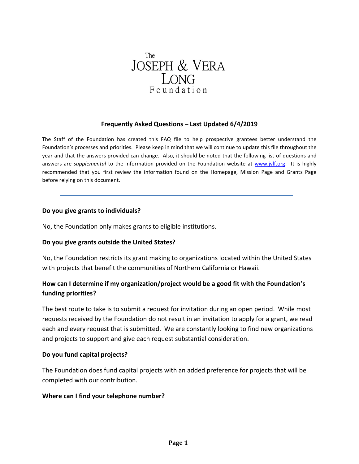

#### **Frequently Asked Questions – Last Updated 6/4/2019**

The Staff of the Foundation has created this FAQ file to help prospective grantees better understand the Foundation's processes and priorities. Please keep in mind that we will continue to update this file throughout the year and that the answers provided can change. Also, it should be noted that the following list of questions and answers are *supplemental* to the information provided on the Foundation website at [www.jvlf.org.](http://www.jvlf.org/) It is highly recommended that you first review the information found on the Homepage, Mission Page and Grants Page before relying on this document.

#### **Do you give grants to individuals?**

No, the Foundation only makes grants to eligible institutions.

#### **Do you give grants outside the United States?**

No, the Foundation restricts its grant making to organizations located within the United States with projects that benefit the communities of Northern California or Hawaii.

## **How can I determine if my organization/project would be a good fit with the Foundation's funding priorities?**

The best route to take is to submit a request for invitation during an open period. While most requests received by the Foundation do not result in an invitation to apply for a grant, we read each and every request that is submitted. We are constantly looking to find new organizations and projects to support and give each request substantial consideration.

#### **Do you fund capital projects?**

The Foundation does fund capital projects with an added preference for projects that will be completed with our contribution.

#### **Where can I find your telephone number?**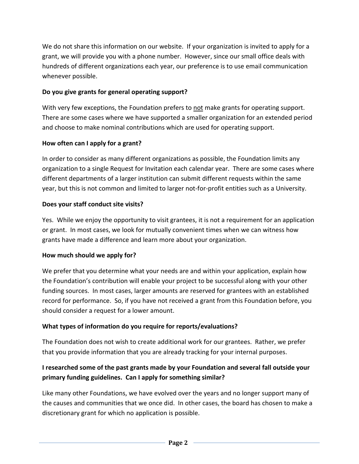We do not share this information on our website. If your organization is invited to apply for a grant, we will provide you with a phone number. However, since our small office deals with hundreds of different organizations each year, our preference is to use email communication whenever possible.

## **Do you give grants for general operating support?**

With very few exceptions, the Foundation prefers to not make grants for operating support. There are some cases where we have supported a smaller organization for an extended period and choose to make nominal contributions which are used for operating support.

## **How often can I apply for a grant?**

In order to consider as many different organizations as possible, the Foundation limits any organization to a single Request for Invitation each calendar year. There are some cases where different departments of a larger institution can submit different requests within the same year, but this is not common and limited to larger not-for-profit entities such as a University.

## **Does your staff conduct site visits?**

Yes. While we enjoy the opportunity to visit grantees, it is not a requirement for an application or grant. In most cases, we look for mutually convenient times when we can witness how grants have made a difference and learn more about your organization.

### **How much should we apply for?**

We prefer that you determine what your needs are and within your application, explain how the Foundation's contribution will enable your project to be successful along with your other funding sources. In most cases, larger amounts are reserved for grantees with an established record for performance. So, if you have not received a grant from this Foundation before, you should consider a request for a lower amount.

## **What types of information do you require for reports/evaluations?**

The Foundation does not wish to create additional work for our grantees. Rather, we prefer that you provide information that you are already tracking for your internal purposes.

# **I researched some of the past grants made by your Foundation and several fall outside your primary funding guidelines. Can I apply for something similar?**

Like many other Foundations, we have evolved over the years and no longer support many of the causes and communities that we once did. In other cases, the board has chosen to make a discretionary grant for which no application is possible.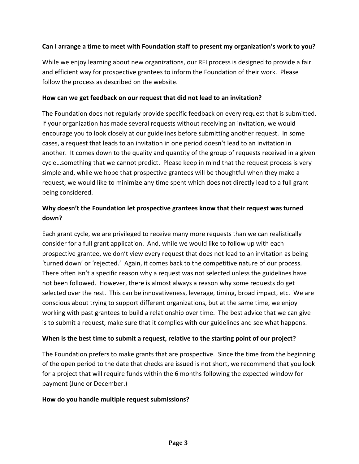## **Can I arrange a time to meet with Foundation staff to present my organization's work to you?**

While we enjoy learning about new organizations, our RFI process is designed to provide a fair and efficient way for prospective grantees to inform the Foundation of their work. Please follow the process as described on the website.

### **How can we get feedback on our request that did not lead to an invitation?**

The Foundation does not regularly provide specific feedback on every request that is submitted. If your organization has made several requests without receiving an invitation, we would encourage you to look closely at our guidelines before submitting another request. In some cases, a request that leads to an invitation in one period doesn't lead to an invitation in another. It comes down to the quality and quantity of the group of requests received in a given cycle…something that we cannot predict. Please keep in mind that the request process is very simple and, while we hope that prospective grantees will be thoughtful when they make a request, we would like to minimize any time spent which does not directly lead to a full grant being considered.

# **Why doesn't the Foundation let prospective grantees know that their request was turned down?**

Each grant cycle, we are privileged to receive many more requests than we can realistically consider for a full grant application. And, while we would like to follow up with each prospective grantee, we don't view every request that does not lead to an invitation as being 'turned down' or 'rejected.' Again, it comes back to the competitive nature of our process. There often isn't a specific reason why a request was not selected unless the guidelines have not been followed. However, there is almost always a reason why some requests do get selected over the rest. This can be innovativeness, leverage, timing, broad impact, etc. We are conscious about trying to support different organizations, but at the same time, we enjoy working with past grantees to build a relationship over time. The best advice that we can give is to submit a request, make sure that it complies with our guidelines and see what happens.

## **When is the best time to submit a request, relative to the starting point of our project?**

The Foundation prefers to make grants that are prospective. Since the time from the beginning of the open period to the date that checks are issued is not short, we recommend that you look for a project that will require funds within the 6 months following the expected window for payment (June or December.)

### **How do you handle multiple request submissions?**